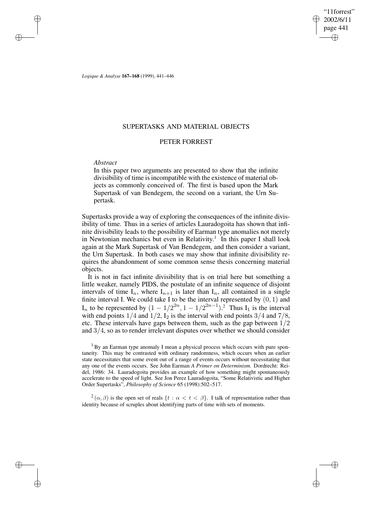"11forrest" 2002/6/11 page 441 ✐ ✐

✐

✐

*Logique & Analyse* **167–168** (1999), 441–446

## SUPERTASKS AND MATERIAL OBJECTS

### PETER FORREST

### *Abstract*

✐

✐

✐

✐

In this paper two arguments are presented to show that the infinite divisibility of time is incompatible with the existence of material objects as commonly conceived of. The first is based upon the Mark Supertask of van Bendegem, the second on a variant, the Urn Supertask.

Supertasks provide a way of exploring the consequences of the infinite divisibility of time. Thus in a series of articles Lauradogoita has shown that infinite divisibility leads to the possibility of Earman type anomalies not merely in Newtonian mechanics but even in Relativity.<sup>1</sup> In this paper I shall look again at the Mark Supertask of Van Bendegem, and then consider a variant, the Urn Supertask. In both cases we may show that infinite divisibility requires the abandonment of some common sense thesis concerning material objects.

It is not in fact infinite divisibility that is on trial here but something a little weaker, namely PIDS, the postulate of an infinite sequence of disjoint intervals of time  $I_n$ , where  $I_{n+1}$  is later than  $I_n$ , all contained in a single finite interval I. We could take I to be the interval represented by  $(0, 1)$  and  $I_n$  to be represented by  $(1 - 1/2^{2n}, 1 - 1/2^{2n-1})$ .<sup>2</sup> Thus  $I_1$  is the interval with end points  $1/4$  and  $1/2$ ,  $I_2$  is the interval with end points  $3/4$  and  $7/8$ , etc. These intervals have gaps between them, such as the gap between 1/2 and  $3/4$ , so as to render irrelevant disputes over whether we should consider

<sup>1</sup> By an Earman type anomaly I mean a physical process which occurs with pure spontaneity. This may be contrasted with ordinary randomness, which occurs when an earlier state necessitates that some event out of a range of events occurs without necessitating that any one of the events occurs. See John Earman *A Primer on Determinism.* Dordrecht: Reidel, 1986: 34. Lauradogoita provides an example of how something might spontaneously accelerate to the speed of light. See Jon Perez Lauradogoita, "Some Relativistic and Higher Order Supertasks", *Philosophy of Science* 65 (1998):502–517.

 $2(\alpha, \beta)$  is the open set of reals  $\{t : \alpha < t < \beta\}$ . I talk of representation rather than identity because of scruples about identifying parts of time with sets of moments.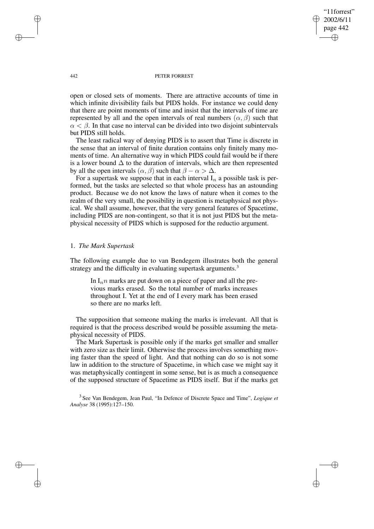"11forrest" 2002/6/11 page 442 ✐ ✐

✐

✐

#### 442 PETER FORREST

open or closed sets of moments. There are attractive accounts of time in which infinite divisibility fails but PIDS holds. For instance we could deny that there are point moments of time and insist that the intervals of time are represented by all and the open intervals of real numbers  $(\alpha, \beta)$  such that  $\alpha < \beta$ . In that case no interval can be divided into two disjoint subintervals but PIDS still holds.

The least radical way of denying PIDS is to assert that Time is discrete in the sense that an interval of finite duration contains only finitely many moments of time. An alternative way in which PIDS could fail would be if there is a lower bound  $\Delta$  to the duration of intervals, which are then represented by all the open intervals  $(\alpha, \beta)$  such that  $\beta - \alpha > \Delta$ .

For a supertask we suppose that in each interval  $I_n$  a possible task is performed, but the tasks are selected so that whole process has an astounding product. Because we do not know the laws of nature when it comes to the realm of the very small, the possibility in question is metaphysical not physical. We shall assume, however, that the very general features of Spacetime, including PIDS are non-contingent, so that it is not just PIDS but the metaphysical necessity of PIDS which is supposed for the reductio argument.

# 1. *The Mark Supertask*

The following example due to van Bendegem illustrates both the general strategy and the difficulty in evaluating supertask arguments.<sup>3</sup>

In  $I_n n$  marks are put down on a piece of paper and all the previous marks erased. So the total number of marks increases throughout I. Yet at the end of I every mark has been erased so there are no marks left.

The supposition that someone making the marks is irrelevant. All that is required is that the process described would be possible assuming the metaphysical necessity of PIDS.

The Mark Supertask is possible only if the marks get smaller and smaller with zero size as their limit. Otherwise the process involves something moving faster than the speed of light. And that nothing can do so is not some law in addition to the structure of Spacetime, in which case we might say it was metaphysically contingent in some sense, but is as much a consequence of the supposed structure of Spacetime as PIDS itself. But if the marks get

3 See Van Bendegem, Jean Paul, "In Defence of Discrete Space and Time", *Logique et Analyse* 38 (1995):127–150.

✐

✐

✐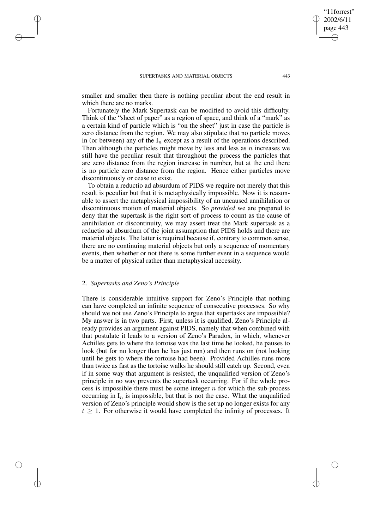✐

✐

smaller and smaller then there is nothing peculiar about the end result in which there are no marks.

Fortunately the Mark Supertask can be modified to avoid this difficulty. Think of the "sheet of paper" as a region of space, and think of a "mark" as a certain kind of particle which is "on the sheet" just in case the particle is zero distance from the region. We may also stipulate that no particle moves in (or between) any of the  $I_n$  except as a result of the operations described. Then although the particles might move by less and less as  $n$  increases we still have the peculiar result that throughout the process the particles that are zero distance from the region increase in number, but at the end there is no particle zero distance from the region. Hence either particles move discontinuously or cease to exist.

To obtain a reductio ad absurdum of PIDS we require not merely that this result is peculiar but that it is metaphysically impossible. Now it is reasonable to assert the metaphysical impossibility of an uncaused annihilation or discontinuous motion of material objects. So *provided* we are prepared to deny that the supertask is the right sort of process to count as the cause of annihilation or discontinuity, we may assert treat the Mark supertask as a reductio ad absurdum of the joint assumption that PIDS holds and there are material objects. The latter is required because if, contrary to common sense, there are no continuing material objects but only a sequence of momentary events, then whether or not there is some further event in a sequence would be a matter of physical rather than metaphysical necessity.

### 2. *Supertasks and Zeno's Principle*

✐

✐

✐

✐

There is considerable intuitive support for Zeno's Principle that nothing can have completed an infinite sequence of consecutive processes. So why should we not use Zeno's Principle to argue that supertasks are impossible? My answer is in two parts. First, unless it is qualified, Zeno's Principle already provides an argument against PIDS, namely that when combined with that postulate it leads to a version of Zeno's Paradox, in which, whenever Achilles gets to where the tortoise was the last time he looked, he pauses to look (but for no longer than he has just run) and then runs on (not looking until he gets to where the tortoise had been). Provided Achilles runs more than twice as fast as the tortoise walks he should still catch up. Second, even if in some way that argument is resisted, the unqualified version of Zeno's principle in no way prevents the supertask occurring. For if the whole process is impossible there must be some integer  $n$  for which the sub-process occurring in  $I_n$  is impossible, but that is not the case. What the unqualified version of Zeno's principle would show is the set up no longer exists for any  $t \geq 1$ . For otherwise it would have completed the infinity of processes. It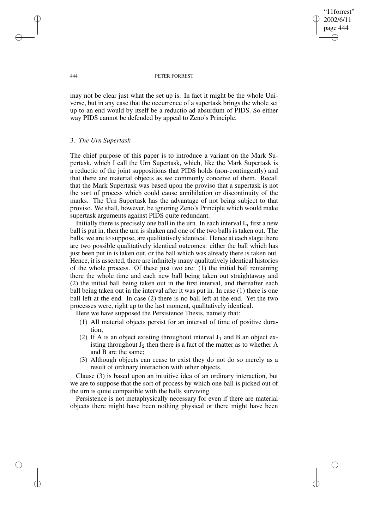"11forrest" 2002/6/11 page 444 ✐ ✐

✐

✐

#### 444 PETER FORREST

may not be clear just what the set up is. In fact it might be the whole Universe, but in any case that the occurrence of a supertask brings the whole set up to an end would by itself be a reductio ad absurdum of PIDS. So either way PIDS cannot be defended by appeal to Zeno's Principle.

## 3. *The Urn Supertask*

The chief purpose of this paper is to introduce a variant on the Mark Supertask, which I call the Urn Supertask, which, like the Mark Supertask is a reductio of the joint suppositions that PIDS holds (non-contingently) and that there are material objects as we commonly conceive of them. Recall that the Mark Supertask was based upon the proviso that a supertask is not the sort of process which could cause annihilation or discontinuity of the marks. The Urn Supertask has the advantage of not being subject to that proviso. We shall, however, be ignoring Zeno's Principle which would make supertask arguments against PIDS quite redundant.

Initially there is precisely one ball in the urn. In each interval  $I_n$  first a new ball is put in, then the urn is shaken and one of the two balls is taken out. The balls, we are to suppose, are qualitatively identical. Hence at each stage there are two possible qualitatively identical outcomes: either the ball which has just been put in is taken out, or the ball which was already there is taken out. Hence, it is asserted, there are infinitely many qualitatively identical histories of the whole process. Of these just two are: (1) the initial ball remaining there the whole time and each new ball being taken out straightaway and (2) the initial ball being taken out in the first interval, and thereafter each ball being taken out in the interval after it was put in. In case (1) there is one ball left at the end. In case (2) there is no ball left at the end. Yet the two processes were, right up to the last moment, qualitatively identical.

Here we have supposed the Persistence Thesis, namely that:

- (1) All material objects persist for an interval of time of positive duration;
- (2) If A is an object existing throughout interval  $J_1$  and B an object existing throughout  $J_2$  then there is a fact of the matter as to whether A and B are the same;
- (3) Although objects can cease to exist they do not do so merely as a result of ordinary interaction with other objects.

Clause (3) is based upon an intuitive idea of an ordinary interaction, but we are to suppose that the sort of process by which one ball is picked out of the urn is quite compatible with the balls surviving.

Persistence is not metaphysically necessary for even if there are material objects there might have been nothing physical or there might have been

✐

✐

✐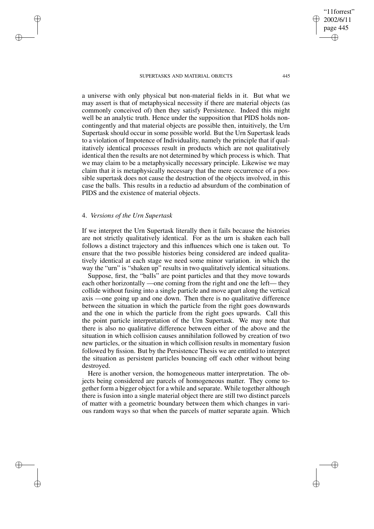#### SUPERTASKS AND MATERIAL OBJECTS 445

a universe with only physical but non-material fields in it. But what we may assert is that of metaphysical necessity if there are material objects (as commonly conceived of) then they satisfy Persistence. Indeed this might well be an analytic truth. Hence under the supposition that PIDS holds noncontingently and that material objects are possible then, intuitively, the Urn Supertask should occur in some possible world. But the Urn Supertask leads to a violation of Impotence of Individuality, namely the principle that if qualitatively identical processes result in products which are not qualitatively identical then the results are not determined by which process is which. That we may claim to be a metaphysically necessary principle. Likewise we may claim that it is metaphysically necessary that the mere occurrence of a possible supertask does not cause the destruction of the objects involved, in this case the balls. This results in a reductio ad absurdum of the combination of PIDS and the existence of material objects.

## 4. *Versions of the Urn Supertask*

✐

✐

✐

✐

If we interpret the Urn Supertask literally then it fails because the histories are not strictly qualitatively identical. For as the urn is shaken each ball follows a distinct trajectory and this influences which one is taken out. To ensure that the two possible histories being considered are indeed qualitatively identical at each stage we need some minor variation. in which the way the "urn" is "shaken up" results in two qualitatively identical situations.

Suppose, first, the "balls" are point particles and that they move towards each other horizontally —one coming from the right and one the left— they collide without fusing into a single particle and move apart along the vertical axis —one going up and one down. Then there is no qualitative difference between the situation in which the particle from the right goes downwards and the one in which the particle from the right goes upwards. Call this the point particle interpretation of the Urn Supertask. We may note that there is also no qualitative difference between either of the above and the situation in which collision causes annihilation followed by creation of two new particles, or the situation in which collision results in momentary fusion followed by fission. But by the Persistence Thesis we are entitled to interpret the situation as persistent particles bouncing off each other without being destroyed.

Here is another version, the homogeneous matter interpretation. The objects being considered are parcels of homogeneous matter. They come together form a bigger object for a while and separate. While together although there is fusion into a single material object there are still two distinct parcels of matter with a geometric boundary between them which changes in various random ways so that when the parcels of matter separate again. Which

"11forrest" 2002/6/11 page 445

✐

✐

✐